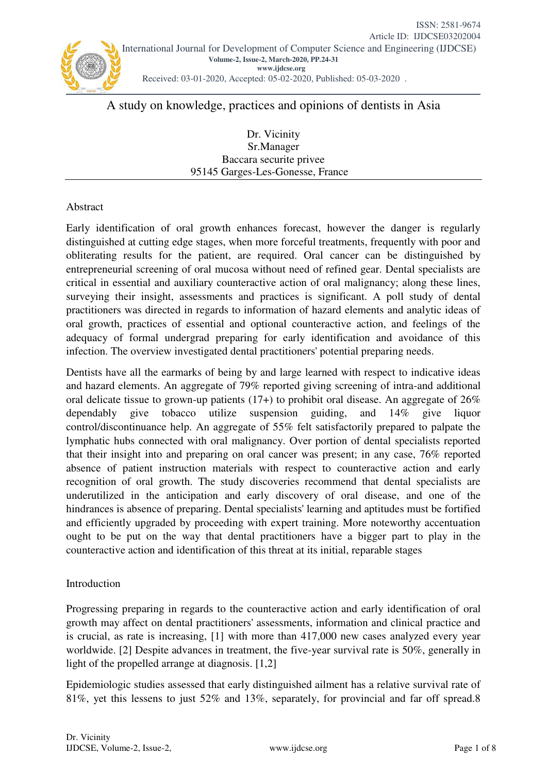

# A study on knowledge, practices and opinions of dentists in Asia

Dr. Vicinity Sr.Manager Baccara securite privee 95145 Garges-Les-Gonesse, France

#### Abstract

Early identification of oral growth enhances forecast, however the danger is regularly distinguished at cutting edge stages, when more forceful treatments, frequently with poor and obliterating results for the patient, are required. Oral cancer can be distinguished by entrepreneurial screening of oral mucosa without need of refined gear. Dental specialists are critical in essential and auxiliary counteractive action of oral malignancy; along these lines, surveying their insight, assessments and practices is significant. A poll study of dental practitioners was directed in regards to information of hazard elements and analytic ideas of oral growth, practices of essential and optional counteractive action, and feelings of the adequacy of formal undergrad preparing for early identification and avoidance of this infection. The overview investigated dental practitioners' potential preparing needs.

Dentists have all the earmarks of being by and large learned with respect to indicative ideas and hazard elements. An aggregate of 79% reported giving screening of intra-and additional oral delicate tissue to grown-up patients  $(17+)$  to prohibit oral disease. An aggregate of  $26\%$ dependably give tobacco utilize suspension guiding, and 14% give liquor control/discontinuance help. An aggregate of 55% felt satisfactorily prepared to palpate the lymphatic hubs connected with oral malignancy. Over portion of dental specialists reported that their insight into and preparing on oral cancer was present; in any case, 76% reported absence of patient instruction materials with respect to counteractive action and early recognition of oral growth. The study discoveries recommend that dental specialists are underutilized in the anticipation and early discovery of oral disease, and one of the hindrances is absence of preparing. Dental specialists' learning and aptitudes must be fortified and efficiently upgraded by proceeding with expert training. More noteworthy accentuation ought to be put on the way that dental practitioners have a bigger part to play in the counteractive action and identification of this threat at its initial, reparable stages

#### Introduction

Progressing preparing in regards to the counteractive action and early identification of oral growth may affect on dental practitioners' assessments, information and clinical practice and is crucial, as rate is increasing, [1] with more than 417,000 new cases analyzed every year worldwide. [2] Despite advances in treatment, the five-year survival rate is 50%, generally in light of the propelled arrange at diagnosis. [1,2]

Epidemiologic studies assessed that early distinguished ailment has a relative survival rate of 81%, yet this lessens to just 52% and 13%, separately, for provincial and far off spread.8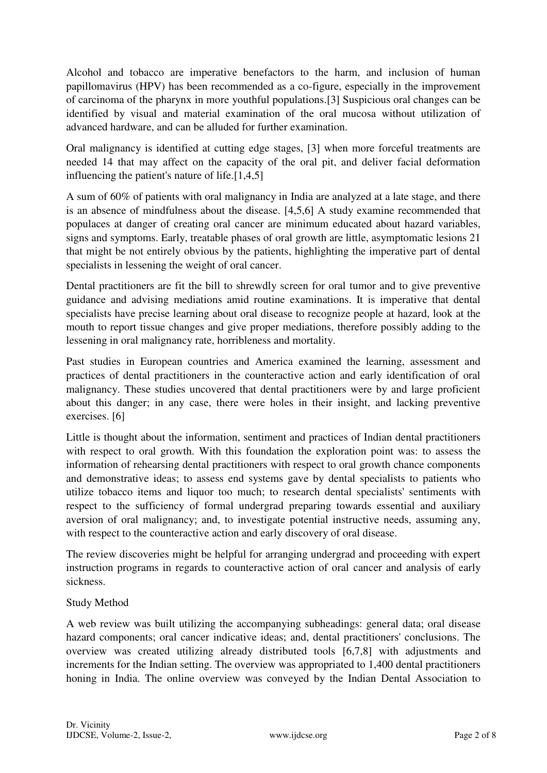Alcohol and tobacco are imperative benefactors to the harm, and inclusion of human papillomavirus (HPV) has been recommended as a co-figure, especially in the improvement of carcinoma of the pharynx in more youthful populations.[3] Suspicious oral changes can be identified by visual and material examination of the oral mucosa without utilization of advanced hardware, and can be alluded for further examination.

Oral malignancy is identified at cutting edge stages, [3] when more forceful treatments are needed 14 that may affect on the capacity of the oral pit, and deliver facial deformation influencing the patient's nature of life.[1,4,5]

A sum of 60% of patients with oral malignancy in India are analyzed at a late stage, and there is an absence of mindfulness about the disease. [4,5,6] A study examine recommended that populaces at danger of creating oral cancer are minimum educated about hazard variables, signs and symptoms. Early, treatable phases of oral growth are little, asymptomatic lesions 21 that might be not entirely obvious by the patients, highlighting the imperative part of dental specialists in lessening the weight of oral cancer.

Dental practitioners are fit the bill to shrewdly screen for oral tumor and to give preventive guidance and advising mediations amid routine examinations. It is imperative that dental specialists have precise learning about oral disease to recognize people at hazard, look at the mouth to report tissue changes and give proper mediations, therefore possibly adding to the lessening in oral malignancy rate, horribleness and mortality.

Past studies in European countries and America examined the learning, assessment and practices of dental practitioners in the counteractive action and early identification of oral malignancy. These studies uncovered that dental practitioners were by and large proficient about this danger; in any case, there were holes in their insight, and lacking preventive exercises. [6]

Little is thought about the information, sentiment and practices of Indian dental practitioners with respect to oral growth. With this foundation the exploration point was: to assess the information of rehearsing dental practitioners with respect to oral growth chance components and demonstrative ideas; to assess end systems gave by dental specialists to patients who utilize tobacco items and liquor too much; to research dental specialists' sentiments with respect to the sufficiency of formal undergrad preparing towards essential and auxiliary aversion of oral malignancy; and, to investigate potential instructive needs, assuming any, with respect to the counteractive action and early discovery of oral disease.

The review discoveries might be helpful for arranging undergrad and proceeding with expert instruction programs in regards to counteractive action of oral cancer and analysis of early sickness.

# Study Method

A web review was built utilizing the accompanying subheadings: general data; oral disease hazard components; oral cancer indicative ideas; and, dental practitioners' conclusions. The overview was created utilizing already distributed tools [6,7,8] with adjustments and increments for the Indian setting. The overview was appropriated to 1,400 dental practitioners honing in India. The online overview was conveyed by the Indian Dental Association to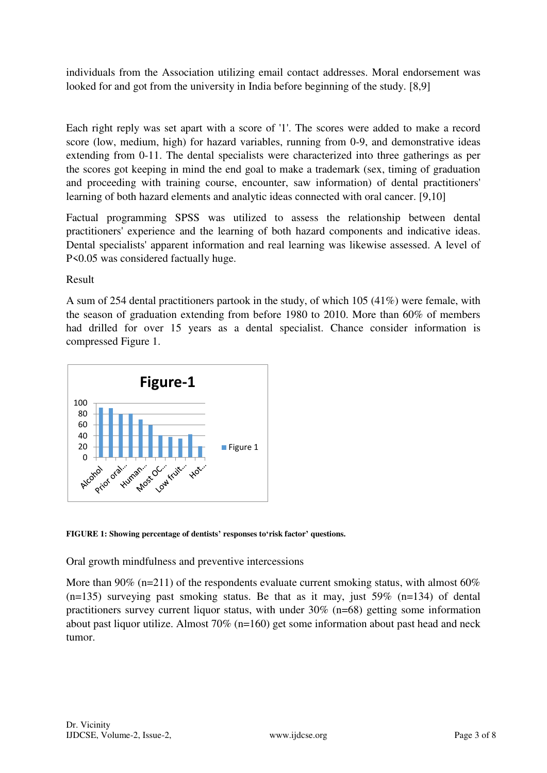individuals from the Association utilizing email contact addresses. Moral endorsement was looked for and got from the university in India before beginning of the study. [8,9]

Each right reply was set apart with a score of '1'. The scores were added to make a record score (low, medium, high) for hazard variables, running from 0-9, and demonstrative ideas extending from 0-11. The dental specialists were characterized into three gatherings as per the scores got keeping in mind the end goal to make a trademark (sex, timing of graduation and proceeding with training course, encounter, saw information) of dental practitioners' learning of both hazard elements and analytic ideas connected with oral cancer. [9,10]

Factual programming SPSS was utilized to assess the relationship between dental practitioners' experience and the learning of both hazard components and indicative ideas. Dental specialists' apparent information and real learning was likewise assessed. A level of P<0.05 was considered factually huge.

Result

A sum of 254 dental practitioners partook in the study, of which 105 (41%) were female, with the season of graduation extending from before 1980 to 2010. More than 60% of members had drilled for over 15 years as a dental specialist. Chance consider information is compressed Figure 1.



**FIGURE 1: Showing percentage of dentists' responses to'risk factor' questions.** 

Oral growth mindfulness and preventive intercessions

More than 90% (n=211) of the respondents evaluate current smoking status, with almost 60% (n=135) surveying past smoking status. Be that as it may, just 59% (n=134) of dental practitioners survey current liquor status, with under 30% (n=68) getting some information about past liquor utilize. Almost 70% (n=160) get some information about past head and neck tumor.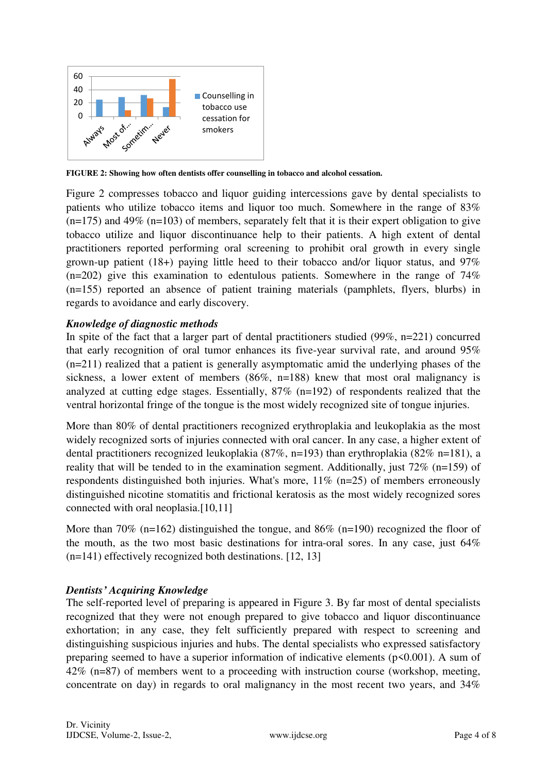

**FIGURE 2: Showing how often dentists offer counselling in tobacco and alcohol cessation.** 

Figure 2 compresses tobacco and liquor guiding intercessions gave by dental specialists to patients who utilize tobacco items and liquor too much. Somewhere in the range of 83%  $(n=175)$  and 49%  $(n=103)$  of members, separately felt that it is their expert obligation to give tobacco utilize and liquor discontinuance help to their patients. A high extent of dental practitioners reported performing oral screening to prohibit oral growth in every single grown-up patient (18+) paying little heed to their tobacco and/or liquor status, and  $97\%$ (n=202) give this examination to edentulous patients. Somewhere in the range of 74% (n=155) reported an absence of patient training materials (pamphlets, flyers, blurbs) in regards to avoidance and early discovery.

## *Knowledge of diagnostic methods*

In spite of the fact that a larger part of dental practitioners studied (99%, n=221) concurred that early recognition of oral tumor enhances its five-year survival rate, and around 95% (n=211) realized that a patient is generally asymptomatic amid the underlying phases of the sickness, a lower extent of members (86%, n=188) knew that most oral malignancy is analyzed at cutting edge stages. Essentially, 87% (n=192) of respondents realized that the ventral horizontal fringe of the tongue is the most widely recognized site of tongue injuries.

More than 80% of dental practitioners recognized erythroplakia and leukoplakia as the most widely recognized sorts of injuries connected with oral cancer. In any case, a higher extent of dental practitioners recognized leukoplakia (87%, n=193) than erythroplakia (82% n=181), a reality that will be tended to in the examination segment. Additionally, just 72% (n=159) of respondents distinguished both injuries. What's more,  $11\%$  (n=25) of members erroneously distinguished nicotine stomatitis and frictional keratosis as the most widely recognized sores connected with oral neoplasia.<sup>[10,11]</sup>

More than 70% (n=162) distinguished the tongue, and 86% (n=190) recognized the floor of the mouth, as the two most basic destinations for intra-oral sores. In any case, just 64% (n=141) effectively recognized both destinations. [12, 13]

## *Dentists' Acquiring Knowledge*

The self-reported level of preparing is appeared in Figure 3. By far most of dental specialists recognized that they were not enough prepared to give tobacco and liquor discontinuance exhortation; in any case, they felt sufficiently prepared with respect to screening and distinguishing suspicious injuries and hubs. The dental specialists who expressed satisfactory preparing seemed to have a superior information of indicative elements ( $p<0.001$ ). A sum of 42% (n=87) of members went to a proceeding with instruction course (workshop, meeting, concentrate on day) in regards to oral malignancy in the most recent two years, and 34%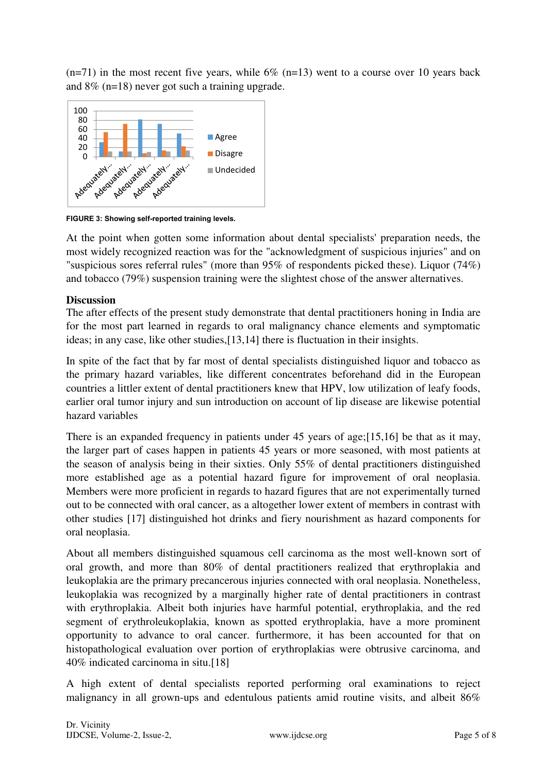$(n=71)$  in the most recent five years, while 6%  $(n=13)$  went to a course over 10 years back and 8% (n=18) never got such a training upgrade.



**FIGURE 3: Showing self-reported training levels.**

At the point when gotten some information about dental specialists' preparation needs, the most widely recognized reaction was for the "acknowledgment of suspicious injuries" and on "suspicious sores referral rules" (more than 95% of respondents picked these). Liquor (74%) and tobacco (79%) suspension training were the slightest chose of the answer alternatives.

#### **Discussion**

The after effects of the present study demonstrate that dental practitioners honing in India are for the most part learned in regards to oral malignancy chance elements and symptomatic ideas; in any case, like other studies,[13,14] there is fluctuation in their insights.

In spite of the fact that by far most of dental specialists distinguished liquor and tobacco as the primary hazard variables, like different concentrates beforehand did in the European countries a littler extent of dental practitioners knew that HPV, low utilization of leafy foods, earlier oral tumor injury and sun introduction on account of lip disease are likewise potential hazard variables

There is an expanded frequency in patients under 45 years of age;[15,16] be that as it may, the larger part of cases happen in patients 45 years or more seasoned, with most patients at the season of analysis being in their sixties. Only 55% of dental practitioners distinguished more established age as a potential hazard figure for improvement of oral neoplasia. Members were more proficient in regards to hazard figures that are not experimentally turned out to be connected with oral cancer, as a altogether lower extent of members in contrast with other studies [17] distinguished hot drinks and fiery nourishment as hazard components for oral neoplasia.

About all members distinguished squamous cell carcinoma as the most well-known sort of oral growth, and more than 80% of dental practitioners realized that erythroplakia and leukoplakia are the primary precancerous injuries connected with oral neoplasia. Nonetheless, leukoplakia was recognized by a marginally higher rate of dental practitioners in contrast with erythroplakia. Albeit both injuries have harmful potential, erythroplakia, and the red segment of erythroleukoplakia, known as spotted erythroplakia, have a more prominent opportunity to advance to oral cancer. furthermore, it has been accounted for that on histopathological evaluation over portion of erythroplakias were obtrusive carcinoma, and 40% indicated carcinoma in situ.[18]

A high extent of dental specialists reported performing oral examinations to reject malignancy in all grown-ups and edentulous patients amid routine visits, and albeit 86%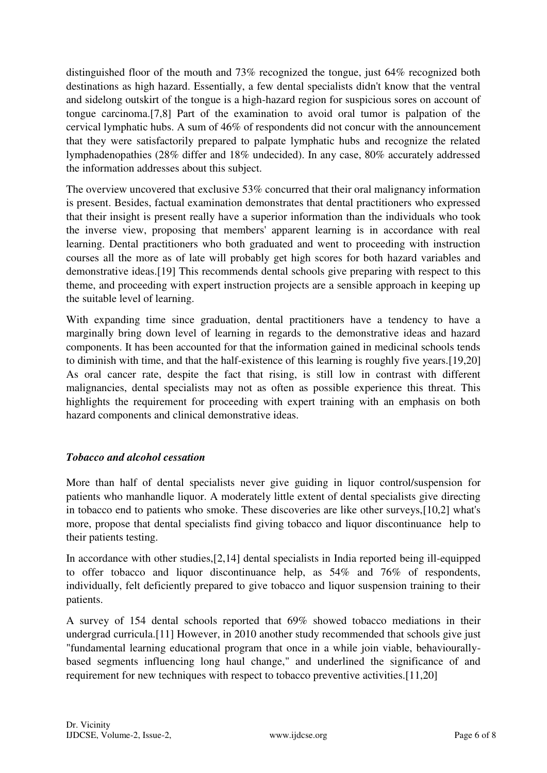distinguished floor of the mouth and 73% recognized the tongue, just 64% recognized both destinations as high hazard. Essentially, a few dental specialists didn't know that the ventral and sidelong outskirt of the tongue is a high-hazard region for suspicious sores on account of tongue carcinoma.[7,8] Part of the examination to avoid oral tumor is palpation of the cervical lymphatic hubs. A sum of 46% of respondents did not concur with the announcement that they were satisfactorily prepared to palpate lymphatic hubs and recognize the related lymphadenopathies (28% differ and 18% undecided). In any case, 80% accurately addressed the information addresses about this subject.

The overview uncovered that exclusive 53% concurred that their oral malignancy information is present. Besides, factual examination demonstrates that dental practitioners who expressed that their insight is present really have a superior information than the individuals who took the inverse view, proposing that members' apparent learning is in accordance with real learning. Dental practitioners who both graduated and went to proceeding with instruction courses all the more as of late will probably get high scores for both hazard variables and demonstrative ideas.[19] This recommends dental schools give preparing with respect to this theme, and proceeding with expert instruction projects are a sensible approach in keeping up the suitable level of learning.

With expanding time since graduation, dental practitioners have a tendency to have a marginally bring down level of learning in regards to the demonstrative ideas and hazard components. It has been accounted for that the information gained in medicinal schools tends to diminish with time, and that the half-existence of this learning is roughly five years.[19,20] As oral cancer rate, despite the fact that rising, is still low in contrast with different malignancies, dental specialists may not as often as possible experience this threat. This highlights the requirement for proceeding with expert training with an emphasis on both hazard components and clinical demonstrative ideas.

## *Tobacco and alcohol cessation*

More than half of dental specialists never give guiding in liquor control/suspension for patients who manhandle liquor. A moderately little extent of dental specialists give directing in tobacco end to patients who smoke. These discoveries are like other surveys,[10,2] what's more, propose that dental specialists find giving tobacco and liquor discontinuance help to their patients testing.

In accordance with other studies,[2,14] dental specialists in India reported being ill-equipped to offer tobacco and liquor discontinuance help, as 54% and 76% of respondents, individually, felt deficiently prepared to give tobacco and liquor suspension training to their patients.

A survey of 154 dental schools reported that 69% showed tobacco mediations in their undergrad curricula.[11] However, in 2010 another study recommended that schools give just "fundamental learning educational program that once in a while join viable, behaviourallybased segments influencing long haul change," and underlined the significance of and requirement for new techniques with respect to tobacco preventive activities.[11,20]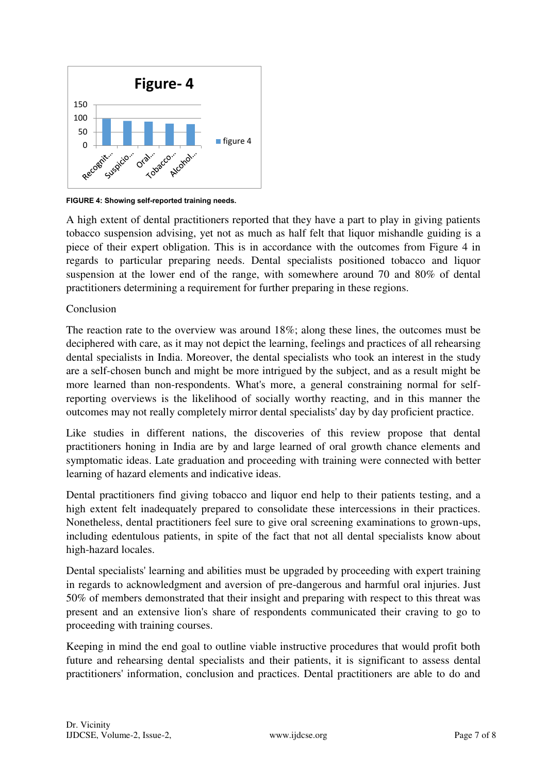

**FIGURE 4: Showing self-reported training needs.**

A high extent of dental practitioners reported that they have a part to play in giving patients tobacco suspension advising, yet not as much as half felt that liquor mishandle guiding is a piece of their expert obligation. This is in accordance with the outcomes from Figure 4 in regards to particular preparing needs. Dental specialists positioned tobacco and liquor suspension at the lower end of the range, with somewhere around 70 and 80% of dental practitioners determining a requirement for further preparing in these regions.

## Conclusion

The reaction rate to the overview was around 18%; along these lines, the outcomes must be deciphered with care, as it may not depict the learning, feelings and practices of all rehearsing dental specialists in India. Moreover, the dental specialists who took an interest in the study are a self-chosen bunch and might be more intrigued by the subject, and as a result might be more learned than non-respondents. What's more, a general constraining normal for selfreporting overviews is the likelihood of socially worthy reacting, and in this manner the outcomes may not really completely mirror dental specialists' day by day proficient practice.

Like studies in different nations, the discoveries of this review propose that dental practitioners honing in India are by and large learned of oral growth chance elements and symptomatic ideas. Late graduation and proceeding with training were connected with better learning of hazard elements and indicative ideas.

Dental practitioners find giving tobacco and liquor end help to their patients testing, and a high extent felt inadequately prepared to consolidate these intercessions in their practices. Nonetheless, dental practitioners feel sure to give oral screening examinations to grown-ups, including edentulous patients, in spite of the fact that not all dental specialists know about high-hazard locales.

Dental specialists' learning and abilities must be upgraded by proceeding with expert training in regards to acknowledgment and aversion of pre-dangerous and harmful oral injuries. Just 50% of members demonstrated that their insight and preparing with respect to this threat was present and an extensive lion's share of respondents communicated their craving to go to proceeding with training courses.

Keeping in mind the end goal to outline viable instructive procedures that would profit both future and rehearsing dental specialists and their patients, it is significant to assess dental practitioners' information, conclusion and practices. Dental practitioners are able to do and